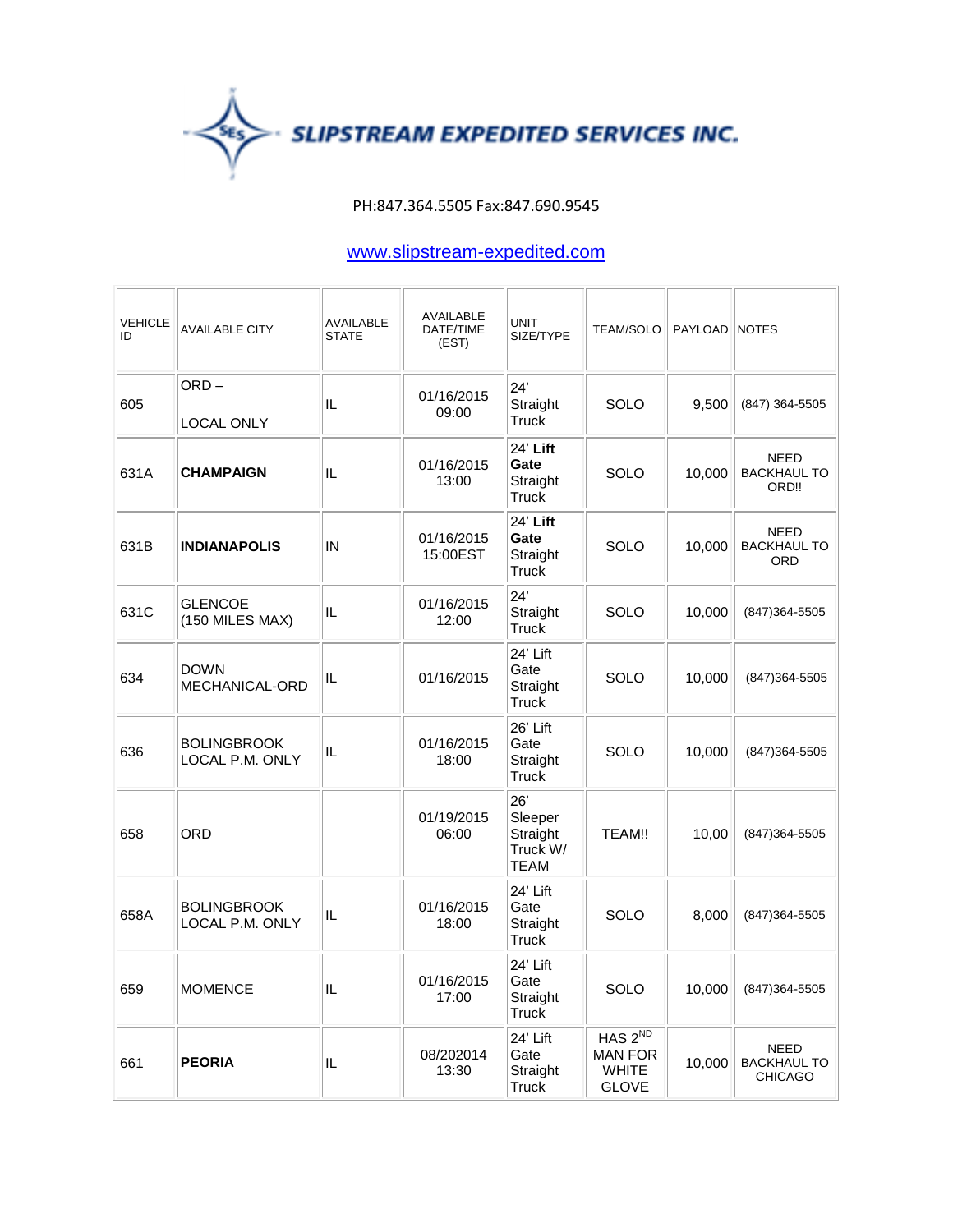

## PH:847.364.5505 Fax:847.690.9545

## www.slipstream-expedited.com

| <b>VEHICLE</b><br>ID | <b>AVAILABLE CITY</b>                 | <b>AVAILABLE</b><br><b>STATE</b> | <b>AVAILABLE</b><br>DATE/TIME<br>(EST) | <b>UNIT</b><br>SIZE/TYPE                              | <b>TEAM/SOLO</b>                                                      | PAYLOAD NOTES |                                                 |
|----------------------|---------------------------------------|----------------------------------|----------------------------------------|-------------------------------------------------------|-----------------------------------------------------------------------|---------------|-------------------------------------------------|
| 605                  | ORD-<br>LOCAL ONLY                    | IL                               | 01/16/2015<br>09:00                    | 24'<br>Straight<br><b>Truck</b>                       | SOLO                                                                  | 9,500         | (847) 364-5505                                  |
| 631A                 | <b>CHAMPAIGN</b>                      | IL                               | 01/16/2015<br>13:00                    | 24' Lift<br>Gate<br>Straight<br><b>Truck</b>          | SOLO                                                                  | 10,000        | NEED<br><b>BACKHAUL TO</b><br>ORD!!             |
| 631B                 | <b>INDIANAPOLIS</b>                   | IN                               | 01/16/2015<br>15:00EST                 | 24' Lift<br>Gate<br>Straight<br><b>Truck</b>          | <b>SOLO</b>                                                           | 10,000        | <b>NEED</b><br><b>BACKHAUL TO</b><br><b>ORD</b> |
| 631C                 | <b>GLENCOE</b><br>(150 MILES MAX)     | IL                               | 01/16/2015<br>12:00                    | 24'<br>Straight<br><b>Truck</b>                       | SOLO                                                                  | 10,000        | (847) 364-5505                                  |
| 634                  | DOWN<br>MECHANICAL-ORD                | IL                               | 01/16/2015                             | 24' Lift<br>Gate<br>Straight<br><b>Truck</b>          | SOLO                                                                  | 10,000        | (847) 364-5505                                  |
| 636                  | <b>BOLINGBROOK</b><br>LOCAL P.M. ONLY | IL                               | 01/16/2015<br>18:00                    | 26' Lift<br>Gate<br>Straight<br><b>Truck</b>          | <b>SOLO</b>                                                           | 10,000        | (847) 364-5505                                  |
| 658                  | ORD                                   |                                  | 01/19/2015<br>06:00                    | 26'<br>Sleeper<br>Straight<br>Truck W/<br><b>TEAM</b> | TEAM!!                                                                | 10,00         | (847) 364-5505                                  |
| 658A                 | <b>BOLINGBROOK</b><br>LOCAL P.M. ONLY | IL                               | 01/16/2015<br>18:00                    | 24' Lift<br>Gate<br>Straight<br>Truck                 | SOLO                                                                  | 8,000         | (847) 364-5505                                  |
| 659                  | <b>MOMENCE</b>                        | IL                               | 01/16/2015<br>17:00                    | 24' Lift<br>Gate<br>Straight<br>Truck                 | <b>SOLO</b>                                                           | 10,000        | $(847)364 - 5505$                               |
| 661                  | <b>PEORIA</b>                         | IL                               | 08/202014<br>13:30                     | 24' Lift<br>Gate<br>Straight<br><b>Truck</b>          | HAS 2 <sup>ND</sup><br><b>MAN FOR</b><br><b>WHITE</b><br><b>GLOVE</b> | 10,000        | NEED<br><b>BACKHAUL TO</b><br><b>CHICAGO</b>    |